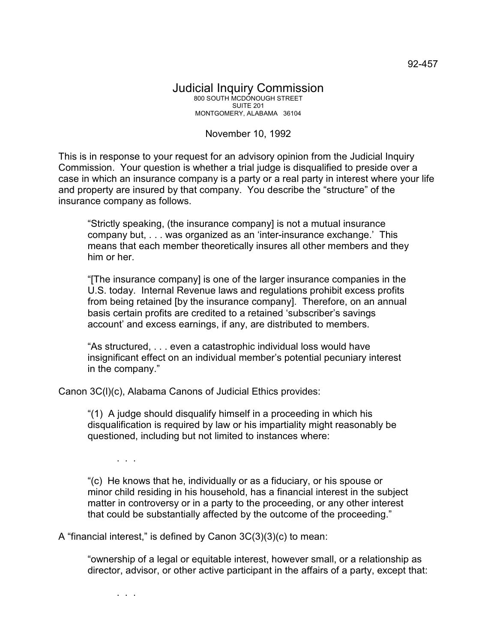## November 10, 1992

This is in response to your request for an advisory opinion from the Judicial Inquiry Commission. Your question is whether a trial judge is disqualified to preside over a case in which an insurance company is a party or a real party in interest where your life and property are insured by that company. You describe the "structure" of the insurance company as follows.

"Strictly speaking, (the insurance company] is not a mutual insurance company but, . . . was organized as an 'inter-insurance exchange.' This means that each member theoretically insures all other members and they him or her.

"[The insurance company] is one of the larger insurance companies in the U.S. today. Internal Revenue laws and regulations prohibit excess profits from being retained [by the insurance company]. Therefore, on an annual basis certain profits are credited to a retained 'subscriber's savings account' and excess earnings, if any, are distributed to members.

"As structured, . . . even a catastrophic individual loss would have insignificant effect on an individual member's potential pecuniary interest in the company."

Canon 3C(l)(c), Alabama Canons of Judicial Ethics provides:

"(1) A judge should disqualify himself in a proceeding in which his disqualification is required by law or his impartiality might reasonably be questioned, including but not limited to instances where:

. . .

"(c) He knows that he, individually or as a fiduciary, or his spouse or minor child residing in his household, has a financial interest in the subject matter in controversy or in a party to the proceeding, or any other interest that could be substantially affected by the outcome of the proceeding."

A "financial interest," is defined by Canon 3C(3)(3)(c) to mean:

"ownership of a legal or equitable interest, however small, or a relationship as director, advisor, or other active participant in the affairs of a party, except that:

. . .